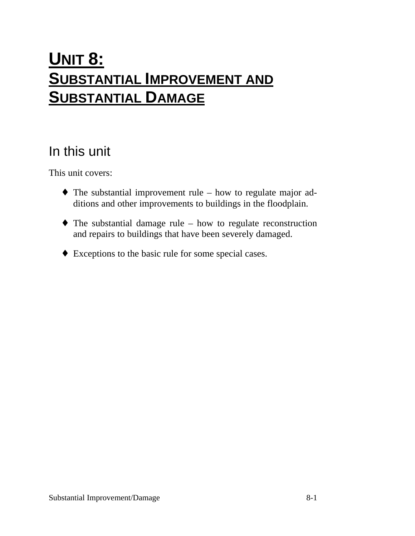# **UNIT 8: SUBSTANTIAL IMPROVEMENT AND SUBSTANTIAL DAMAGE**

## In this unit

This unit covers:

- $\blacklozenge$  The substantial improvement rule how to regulate major additions and other improvements to buildings in the floodplain.
- $\bullet$  The substantial damage rule how to regulate reconstruction and repairs to buildings that have been severely damaged.
- ♦ Exceptions to the basic rule for some special cases.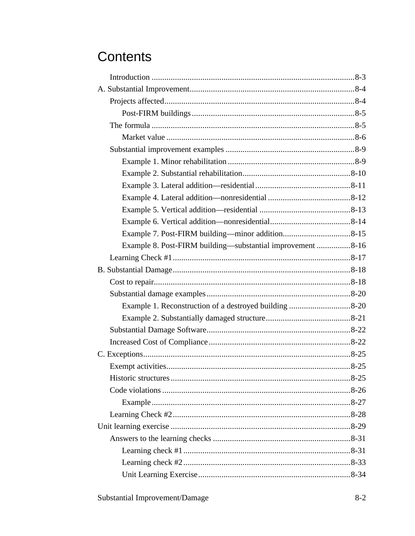## Contents

| Example 8. Post-FIRM building—substantial improvement 8-16 |  |
|------------------------------------------------------------|--|
|                                                            |  |
|                                                            |  |
|                                                            |  |
|                                                            |  |
|                                                            |  |
|                                                            |  |
|                                                            |  |
|                                                            |  |
|                                                            |  |
|                                                            |  |
|                                                            |  |
|                                                            |  |
|                                                            |  |
|                                                            |  |
|                                                            |  |
|                                                            |  |
|                                                            |  |
|                                                            |  |
|                                                            |  |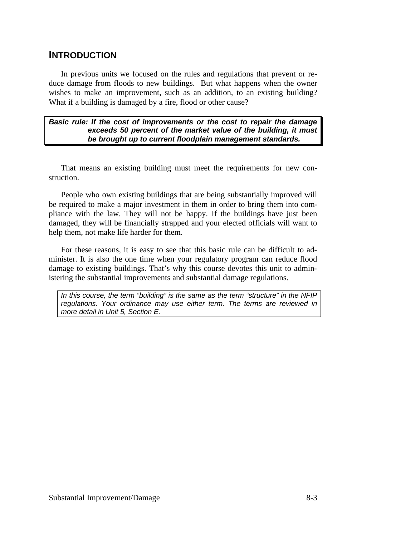## **INTRODUCTION**

In previous units we focused on the rules and regulations that prevent or reduce damage from floods to new buildings. But what happens when the owner wishes to make an improvement, such as an addition, to an existing building? What if a building is damaged by a fire, flood or other cause?

*Basic rule: If the cost of improvements or the cost to repair the damage exceeds 50 percent of the market value of the building, it must be brought up to current floodplain management standards.*

That means an existing building must meet the requirements for new construction.

People who own existing buildings that are being substantially improved will be required to make a major investment in them in order to bring them into compliance with the law. They will not be happy. If the buildings have just been damaged, they will be financially strapped and your elected officials will want to help them, not make life harder for them.

For these reasons, it is easy to see that this basic rule can be difficult to administer. It is also the one time when your regulatory program can reduce flood damage to existing buildings. That's why this course devotes this unit to administering the substantial improvements and substantial damage regulations.

*In this course, the term "building" is the same as the term "structure" in the NFIP regulations. Your ordinance may use either term. The terms are reviewed in more detail in Unit 5, Section E.*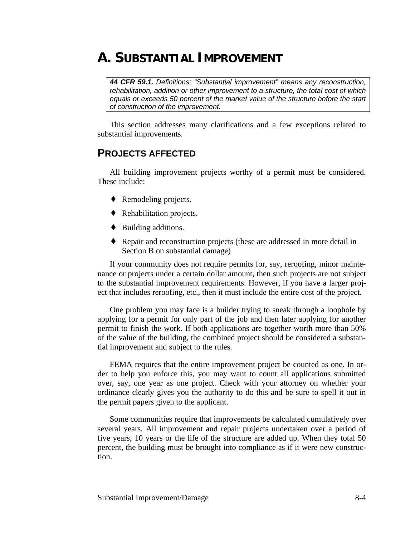## **A. SUBSTANTIAL IMPROVEMENT**

*44 CFR 59.1. Definitions: "Substantial improvement" means any reconstruction, rehabilitation, addition or other improvement to a structure, the total cost of which equals or exceeds 50 percent of the market value of the structure before the start of construction of the improvement.*

This section addresses many clarifications and a few exceptions related to substantial improvements.

## **PROJECTS AFFECTED**

All building improvement projects worthy of a permit must be considered. These include:

- ♦ Remodeling projects.
- ♦ Rehabilitation projects.
- ♦ Building additions.
- ♦ Repair and reconstruction projects (these are addressed in more detail in Section B on substantial damage)

If your community does not require permits for, say, reroofing, minor maintenance or projects under a certain dollar amount, then such projects are not subject to the substantial improvement requirements. However, if you have a larger project that includes reroofing, etc., then it must include the entire cost of the project.

One problem you may face is a builder trying to sneak through a loophole by applying for a permit for only part of the job and then later applying for another permit to finish the work. If both applications are together worth more than 50% of the value of the building, the combined project should be considered a substantial improvement and subject to the rules.

FEMA requires that the entire improvement project be counted as one. In order to help you enforce this, you may want to count all applications submitted over, say, one year as one project. Check with your attorney on whether your ordinance clearly gives you the authority to do this and be sure to spell it out in the permit papers given to the applicant.

Some communities require that improvements be calculated cumulatively over several years. All improvement and repair projects undertaken over a period of five years, 10 years or the life of the structure are added up. When they total 50 percent, the building must be brought into compliance as if it were new construction.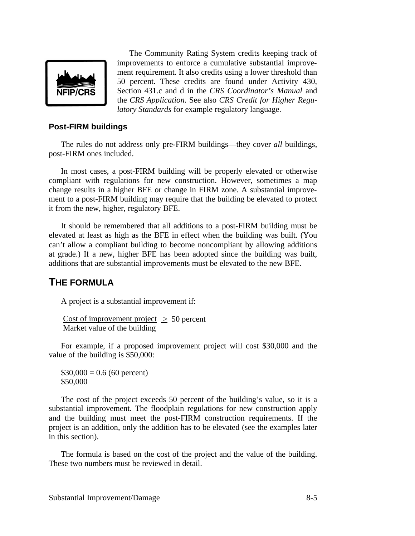

The Community Rating System credits keeping track of improvements to enforce a cumulative substantial improvement requirement. It also credits using a lower threshold than 50 percent. These credits are found under Activity 430, Section 431.c and d in the *CRS Coordinator's Manual* and the *CRS Application*. See also *CRS Credit for Higher Regulatory Standards* for example regulatory language.

### **Post-FIRM buildings**

The rules do not address only pre-FIRM buildings—they cover *all* buildings, post-FIRM ones included.

In most cases, a post-FIRM building will be properly elevated or otherwise compliant with regulations for new construction. However, sometimes a map change results in a higher BFE or change in FIRM zone. A substantial improvement to a post-FIRM building may require that the building be elevated to protect it from the new, higher, regulatory BFE.

It should be remembered that all additions to a post-FIRM building must be elevated at least as high as the BFE in effect when the building was built. (You can't allow a compliant building to become noncompliant by allowing additions at grade.) If a new, higher BFE has been adopted since the building was built, additions that are substantial improvements must be elevated to the new BFE.

## **THE FORMULA**

A project is a substantial improvement if:

Cost of improvement project  $\geq$  50 percent Market value of the building

For example, if a proposed improvement project will cost \$30,000 and the value of the building is \$50,000:

 $$30,000 = 0.6$  (60 percent) \$50,000

The cost of the project exceeds 50 percent of the building's value, so it is a substantial improvement. The floodplain regulations for new construction apply and the building must meet the post-FIRM construction requirements. If the project is an addition, only the addition has to be elevated (see the examples later in this section).

The formula is based on the cost of the project and the value of the building. These two numbers must be reviewed in detail.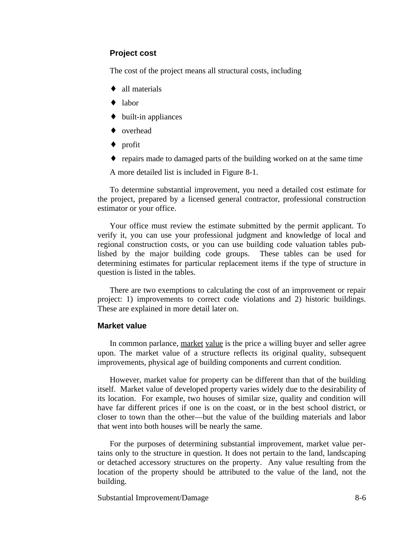### **Project cost**

The cost of the project means all structural costs, including

- ♦ all materials
- ♦ labor
- ♦ built-in appliances
- ♦ overhead
- ♦ profit
- ♦ repairs made to damaged parts of the building worked on at the same time

A more detailed list is included in Figure 8-1.

To determine substantial improvement, you need a detailed cost estimate for the project, prepared by a licensed general contractor, professional construction estimator or your office.

Your office must review the estimate submitted by the permit applicant. To verify it, you can use your professional judgment and knowledge of local and regional construction costs, or you can use building code valuation tables published by the major building code groups. These tables can be used for determining estimates for particular replacement items if the type of structure in question is listed in the tables.

There are two exemptions to calculating the cost of an improvement or repair project: 1) improvements to correct code violations and 2) historic buildings. These are explained in more detail later on.

### **Market value**

In common parlance, market value is the price a willing buyer and seller agree upon. The market value of a structure reflects its original quality, subsequent improvements, physical age of building components and current condition.

However, market value for property can be different than that of the building itself. Market value of developed property varies widely due to the desirability of its location. For example, two houses of similar size, quality and condition will have far different prices if one is on the coast, or in the best school district, or closer to town than the other—but the value of the building materials and labor that went into both houses will be nearly the same.

For the purposes of determining substantial improvement, market value pertains only to the structure in question. It does not pertain to the land, landscaping or detached accessory structures on the property. Any value resulting from the location of the property should be attributed to the value of the land, not the building.

Substantial Improvement/Damage 8-6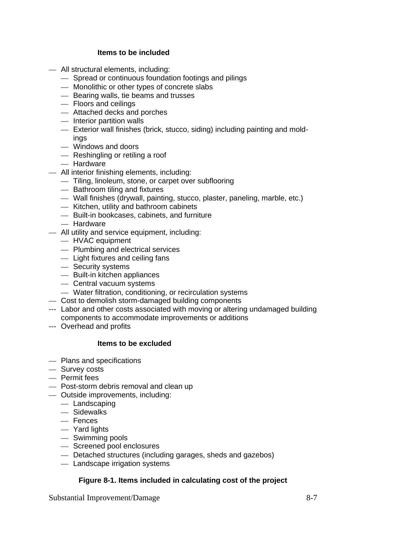### **Items to be included**

- All structural elements, including:
	- Spread or continuous foundation footings and pilings
	- Monolithic or other types of concrete slabs
	- Bearing walls, tie beams and trusses
	- Floors and ceilings
	- Attached decks and porches
	- Interior partition walls
	- Exterior wall finishes (brick, stucco, siding) including painting and moldings
	- Windows and doors
	- Reshingling or retiling a roof
	- Hardware
- All interior finishing elements, including:
	- Tiling, linoleum, stone, or carpet over subflooring
	- Bathroom tiling and fixtures
	- Wall finishes (drywall, painting, stucco, plaster, paneling, marble, etc.)
	- Kitchen, utility and bathroom cabinets
	- Built-in bookcases, cabinets, and furniture
	- Hardware
- All utility and service equipment, including:
	- HVAC equipment
	- Plumbing and electrical services
	- Light fixtures and ceiling fans
	- Security systems
	- Built-in kitchen appliances
	- Central vacuum systems
	- Water filtration, conditioning, or recirculation systems
- Cost to demolish storm-damaged building components
- --- Labor and other costs associated with moving or altering undamaged building components to accommodate improvements or additions
- --- Overhead and profits

### **Items to be excluded**

- Plans and specifications
- Survey costs
- Permit fees
- Post-storm debris removal and clean up
- Outside improvements, including:
	- Landscaping
	- Sidewalks
	- Fences
	- Yard lights
	- Swimming pools
	- Screened pool enclosures
	- Detached structures (including garages, sheds and gazebos)
	- Landscape irrigation systems

### **Figure 8-1. Items included in calculating cost of the project**

Substantial Improvement/Damage 8-7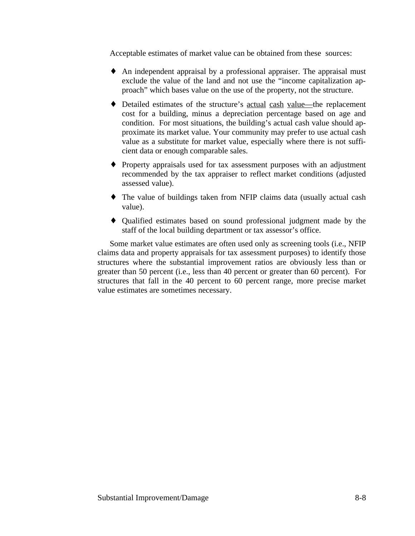Acceptable estimates of market value can be obtained from these sources:

- ♦ An independent appraisal by a professional appraiser. The appraisal must exclude the value of the land and not use the "income capitalization approach" which bases value on the use of the property, not the structure.
- ♦ Detailed estimates of the structure's actual cash value—the replacement cost for a building, minus a depreciation percentage based on age and condition. For most situations, the building's actual cash value should approximate its market value. Your community may prefer to use actual cash value as a substitute for market value, especially where there is not sufficient data or enough comparable sales.
- ♦ Property appraisals used for tax assessment purposes with an adjustment recommended by the tax appraiser to reflect market conditions (adjusted assessed value).
- ♦ The value of buildings taken from NFIP claims data (usually actual cash value).
- ♦ Qualified estimates based on sound professional judgment made by the staff of the local building department or tax assessor's office.

Some market value estimates are often used only as screening tools (i.e., NFIP claims data and property appraisals for tax assessment purposes) to identify those structures where the substantial improvement ratios are obviously less than or greater than 50 percent (i.e., less than 40 percent or greater than 60 percent). For structures that fall in the 40 percent to 60 percent range, more precise market value estimates are sometimes necessary.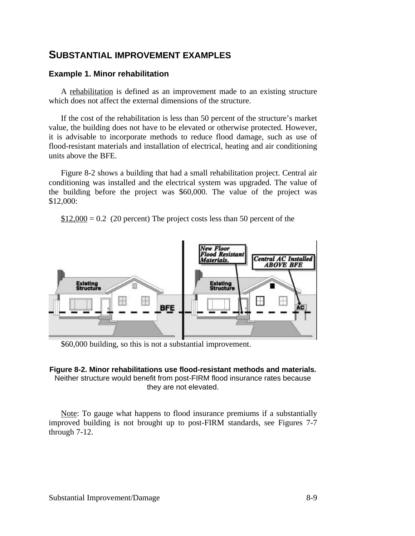## **SUBSTANTIAL IMPROVEMENT EXAMPLES**

### **Example 1. Minor rehabilitation**

A rehabilitation is defined as an improvement made to an existing structure which does not affect the external dimensions of the structure.

If the cost of the rehabilitation is less than 50 percent of the structure's market value, the building does not have to be elevated or otherwise protected. However, it is advisable to incorporate methods to reduce flood damage, such as use of flood-resistant materials and installation of electrical, heating and air conditioning units above the BFE.

Figure 8-2 shows a building that had a small rehabilitation project. Central air conditioning was installed and the electrical system was upgraded. The value of the building before the project was \$60,000. The value of the project was \$12,000:

 $$12,000 = 0.2$  (20 percent) The project costs less than 50 percent of the



\$60,000 building, so this is not a substantial improvement.

#### **Figure 8-2. Minor rehabilitations use flood-resistant methods and materials.** Neither structure would benefit from post-FIRM flood insurance rates because

they are not elevated.

Note: To gauge what happens to flood insurance premiums if a substantially improved building is not brought up to post-FIRM standards, see Figures 7-7 through 7-12.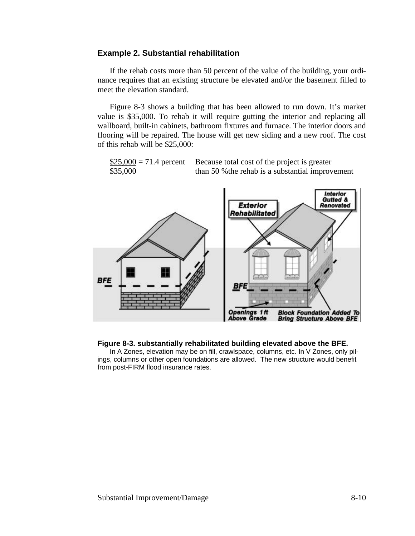### **Example 2. Substantial rehabilitation**

If the rehab costs more than 50 percent of the value of the building, your ordinance requires that an existing structure be elevated and/or the basement filled to meet the elevation standard.

Figure 8-3 shows a building that has been allowed to run down. It's market value is \$35,000. To rehab it will require gutting the interior and replacing all wallboard, built-in cabinets, bathroom fixtures and furnace. The interior doors and flooring will be repaired. The house will get new siding and a new roof. The cost of this rehab will be \$25,000:

 $$25,000 = 71.4$  percent Because total cost of the project is greater \$35,000 than 50 % the rehab is a substantial improvement



### **Figure 8-3. substantially rehabilitated building elevated above the BFE.**

In A Zones, elevation may be on fill, crawlspace, columns, etc. In V Zones, only pilings, columns or other open foundations are allowed. The new structure would benefit from post-FIRM flood insurance rates.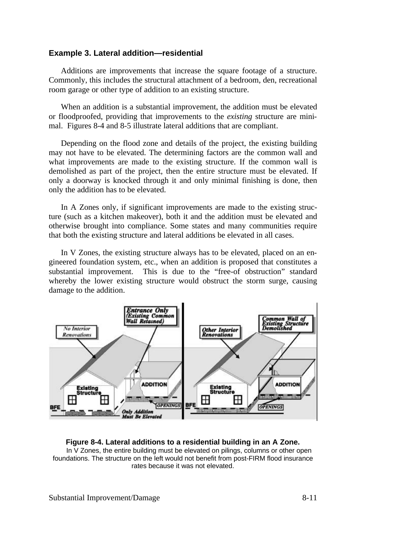### **Example 3. Lateral addition—residential**

Additions are improvements that increase the square footage of a structure. Commonly, this includes the structural attachment of a bedroom, den, recreational room garage or other type of addition to an existing structure.

When an addition is a substantial improvement, the addition must be elevated or floodproofed, providing that improvements to the *existing* structure are minimal. Figures 8-4 and 8-5 illustrate lateral additions that are compliant.

Depending on the flood zone and details of the project, the existing building may not have to be elevated. The determining factors are the common wall and what improvements are made to the existing structure. If the common wall is demolished as part of the project, then the entire structure must be elevated. If only a doorway is knocked through it and only minimal finishing is done, then only the addition has to be elevated.

In A Zones only, if significant improvements are made to the existing structure (such as a kitchen makeover), both it and the addition must be elevated and otherwise brought into compliance. Some states and many communities require that both the existing structure and lateral additions be elevated in all cases.

In V Zones, the existing structure always has to be elevated, placed on an engineered foundation system, etc., when an addition is proposed that constitutes a substantial improvement. This is due to the "free-of obstruction" standard whereby the lower existing structure would obstruct the storm surge, causing damage to the addition.



#### **Figure 8-4. Lateral additions to a residential building in an A Zone.**

In V Zones, the entire building must be elevated on pilings, columns or other open foundations. The structure on the left would not benefit from post-FIRM flood insurance rates because it was not elevated.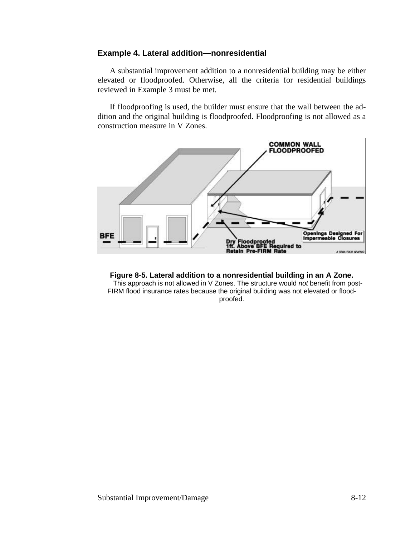### **Example 4. Lateral addition—nonresidential**

A substantial improvement addition to a nonresidential building may be either elevated or floodproofed. Otherwise, all the criteria for residential buildings reviewed in Example 3 must be met.

If floodproofing is used, the builder must ensure that the wall between the addition and the original building is floodproofed. Floodproofing is not allowed as a construction measure in V Zones.



**Figure 8-5. Lateral addition to a nonresidential building in an A Zone.**

This approach is not allowed in V Zones. The structure would *not* benefit from post-FIRM flood insurance rates because the original building was not elevated or floodproofed.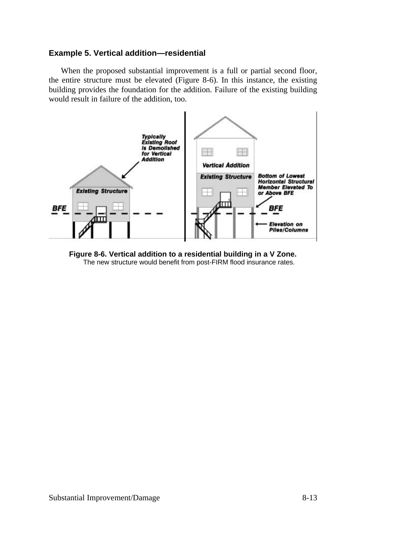### **Example 5. Vertical addition—residential**

When the proposed substantial improvement is a full or partial second floor, the entire structure must be elevated (Figure 8-6). In this instance, the existing building provides the foundation for the addition. Failure of the existing building would result in failure of the addition, too.



**Figure 8-6. Vertical addition to a residential building in a V Zone.** The new structure would benefit from post-FIRM flood insurance rates.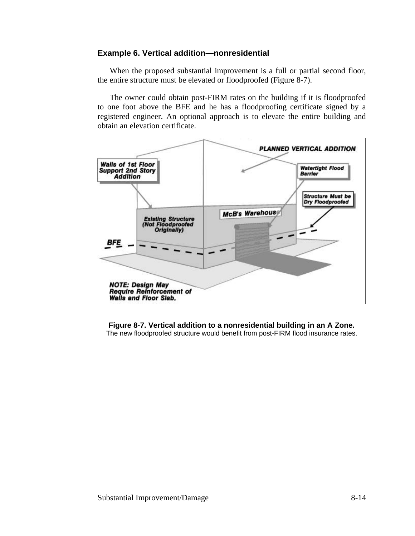### **Example 6. Vertical addition—nonresidential**

When the proposed substantial improvement is a full or partial second floor, the entire structure must be elevated or floodproofed (Figure 8-7).

The owner could obtain post-FIRM rates on the building if it is floodproofed to one foot above the BFE and he has a floodproofing certificate signed by a registered engineer. An optional approach is to elevate the entire building and obtain an elevation certificate.



**Figure 8-7. Vertical addition to a nonresidential building in an A Zone.** The new floodproofed structure would benefit from post-FIRM flood insurance rates.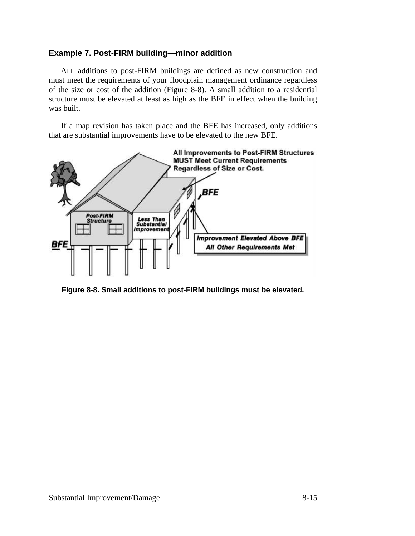### **Example 7. Post-FIRM building—minor addition**

ALL additions to post-FIRM buildings are defined as new construction and must meet the requirements of your floodplain management ordinance regardless of the size or cost of the addition (Figure 8-8). A small addition to a residential structure must be elevated at least as high as the BFE in effect when the building was built.

If a map revision has taken place and the BFE has increased, only additions that are substantial improvements have to be elevated to the new BFE.



**Figure 8-8. Small additions to post-FIRM buildings must be elevated.**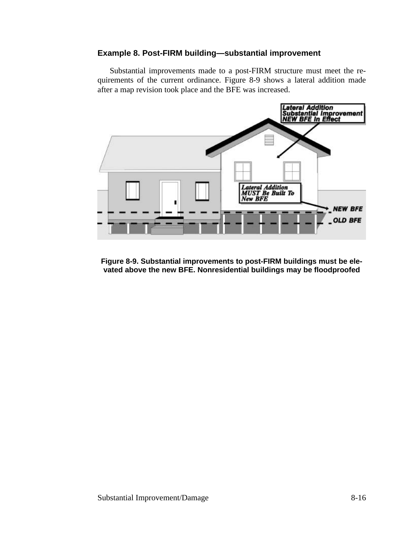### **Example 8. Post-FIRM building—substantial improvement**

Substantial improvements made to a post-FIRM structure must meet the requirements of the current ordinance. Figure 8-9 shows a lateral addition made after a map revision took place and the BFE was increased.



**Figure 8-9. Substantial improvements to post-FIRM buildings must be elevated above the new BFE. Nonresidential buildings may be floodproofed**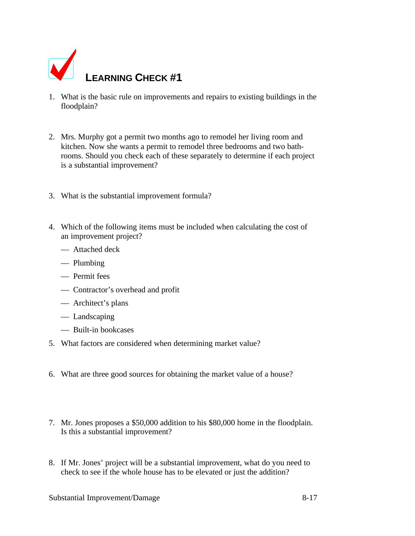

- 1. What is the basic rule on improvements and repairs to existing buildings in the floodplain?
- 2. Mrs. Murphy got a permit two months ago to remodel her living room and kitchen. Now she wants a permit to remodel three bedrooms and two bathrooms. Should you check each of these separately to determine if each project is a substantial improvement?
- 3. What is the substantial improvement formula?
- 4. Which of the following items must be included when calculating the cost of an improvement project?
	- Attached deck
	- Plumbing
	- Permit fees
	- Contractor's overhead and profit
	- Architect's plans
	- Landscaping
	- Built-in bookcases
- 5. What factors are considered when determining market value?
- 6. What are three good sources for obtaining the market value of a house?
- 7. Mr. Jones proposes a \$50,000 addition to his \$80,000 home in the floodplain. Is this a substantial improvement?
- 8. If Mr. Jones' project will be a substantial improvement, what do you need to check to see if the whole house has to be elevated or just the addition?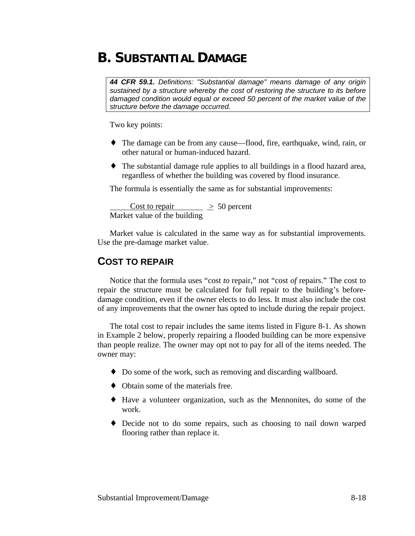## **B. SUBSTANTIAL DAMAGE**

*44 CFR 59.1. Definitions: "Substantial damage" means damage of any origin sustained by a structure whereby the cost of restoring the structure to its before damaged condition would equal or exceed 50 percent of the market value of the structure before the damage occurred.*

Two key points:

- ♦ The damage can be from any cause—flood, fire, earthquake, wind, rain, or other natural or human-induced hazard.
- ♦ The substantial damage rule applies to all buildings in a flood hazard area, regardless of whether the building was covered by flood insurance.

The formula is essentially the same as for substantial improvements:

Cost to repair  $\geq 50$  percent Market value of the building

Market value is calculated in the same way as for substantial improvements. Use the pre-damage market value.

### **COST TO REPAIR**

Notice that the formula uses "cost *to* repair," not "cost *of* repairs." The cost to repair the structure must be calculated for full repair to the building's beforedamage condition, even if the owner elects to do less. It must also include the cost of any improvements that the owner has opted to include during the repair project.

The total cost to repair includes the same items listed in Figure 8-1. As shown in Example 2 below, properly repairing a flooded building can be more expensive than people realize. The owner may opt not to pay for all of the items needed. The owner may:

- ♦ Do some of the work, such as removing and discarding wallboard.
- ♦ Obtain some of the materials free.
- ♦ Have a volunteer organization, such as the Mennonites, do some of the work.
- ♦ Decide not to do some repairs, such as choosing to nail down warped flooring rather than replace it.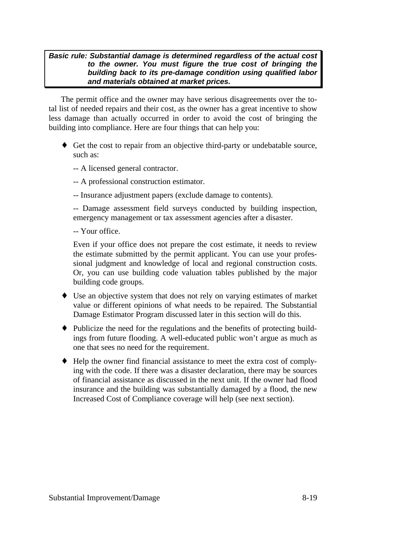### *Basic rule: Substantial damage is determined regardless of the actual cost to the owner. You must figure the true cost of bringing the building back to its pre-damage condition using qualified labor and materials obtained at market prices.*

The permit office and the owner may have serious disagreements over the total list of needed repairs and their cost, as the owner has a great incentive to show less damage than actually occurred in order to avoid the cost of bringing the building into compliance. Here are four things that can help you:

- ♦ Get the cost to repair from an objective third-party or undebatable source, such as:
	- -- A licensed general contractor.
	- -- A professional construction estimator.
	- -- Insurance adjustment papers (exclude damage to contents).

-- Damage assessment field surveys conducted by building inspection, emergency management or tax assessment agencies after a disaster.

-- Your office.

Even if your office does not prepare the cost estimate, it needs to review the estimate submitted by the permit applicant. You can use your professional judgment and knowledge of local and regional construction costs. Or, you can use building code valuation tables published by the major building code groups.

- ♦ Use an objective system that does not rely on varying estimates of market value or different opinions of what needs to be repaired. The Substantial Damage Estimator Program discussed later in this section will do this.
- ♦ Publicize the need for the regulations and the benefits of protecting buildings from future flooding. A well-educated public won't argue as much as one that sees no need for the requirement.
- ♦ Help the owner find financial assistance to meet the extra cost of complying with the code. If there was a disaster declaration, there may be sources of financial assistance as discussed in the next unit. If the owner had flood insurance and the building was substantially damaged by a flood, the new Increased Cost of Compliance coverage will help (see next section).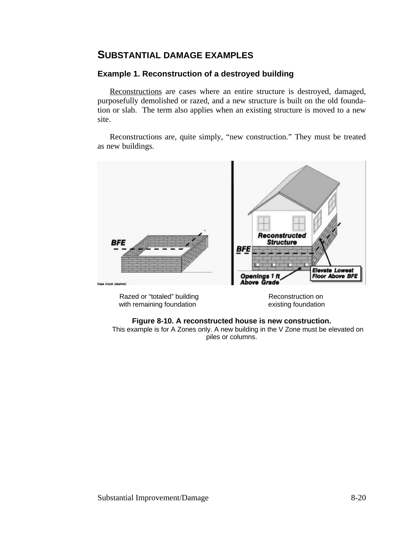## **SUBSTANTIAL DAMAGE EXAMPLES**

### **Example 1. Reconstruction of a destroyed building**

Reconstructions are cases where an entire structure is destroyed, damaged, purposefully demolished or razed, and a new structure is built on the old foundation or slab. The term also applies when an existing structure is moved to a new site.

Reconstructions are, quite simply, "new construction." They must be treated as new buildings.



Razed or "totaled" building Reconstruction on with remaining foundation existing foundation

### **Figure 8-10. A reconstructed house is new construction.**

This example is for A Zones only. A new building in the V Zone must be elevated on piles or columns.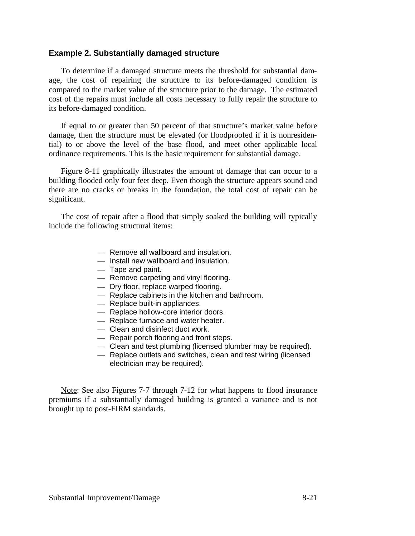#### **Example 2. Substantially damaged structure**

To determine if a damaged structure meets the threshold for substantial damage, the cost of repairing the structure to its before-damaged condition is compared to the market value of the structure prior to the damage. The estimated cost of the repairs must include all costs necessary to fully repair the structure to its before-damaged condition.

If equal to or greater than 50 percent of that structure's market value before damage, then the structure must be elevated (or floodproofed if it is nonresidential) to or above the level of the base flood, and meet other applicable local ordinance requirements. This is the basic requirement for substantial damage.

Figure 8-11 graphically illustrates the amount of damage that can occur to a building flooded only four feet deep. Even though the structure appears sound and there are no cracks or breaks in the foundation, the total cost of repair can be significant.

The cost of repair after a flood that simply soaked the building will typically include the following structural items:

- Remove all wallboard and insulation.
- Install new wallboard and insulation.
- Tape and paint.
- Remove carpeting and vinyl flooring.
- Dry floor, replace warped flooring.
- Replace cabinets in the kitchen and bathroom.
- Replace built-in appliances.
- Replace hollow-core interior doors.
- Replace furnace and water heater.
- Clean and disinfect duct work.
- Repair porch flooring and front steps.
- Clean and test plumbing (licensed plumber may be required).
- Replace outlets and switches, clean and test wiring (licensed electrician may be required).

Note: See also Figures 7-7 through 7-12 for what happens to flood insurance premiums if a substantially damaged building is granted a variance and is not brought up to post-FIRM standards.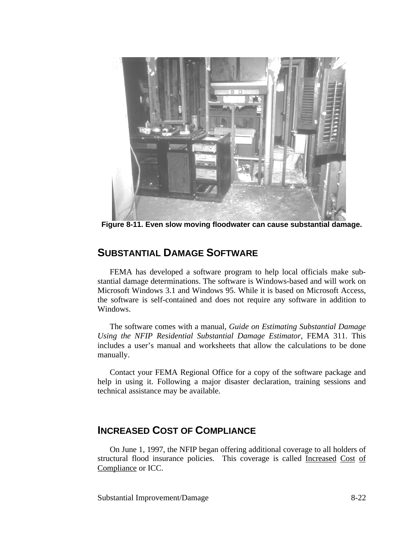

**Figure 8-11. Even slow moving floodwater can cause substantial damage.**

## **SUBSTANTIAL DAMAGE SOFTWARE**

FEMA has developed a software program to help local officials make substantial damage determinations. The software is Windows-based and will work on Microsoft Windows 3.1 and Windows 95. While it is based on Microsoft Access, the software is self-contained and does not require any software in addition to Windows.

The software comes with a manual, *Guide on Estimating Substantial Damage Using the NFIP Residential Substantial Damage Estimator*, FEMA 311. This includes a user's manual and worksheets that allow the calculations to be done manually.

Contact your FEMA Regional Office for a copy of the software package and help in using it. Following a major disaster declaration, training sessions and technical assistance may be available.

## **INCREASED COST OF COMPLIANCE**

On June 1, 1997, the NFIP began offering additional coverage to all holders of structural flood insurance policies. This coverage is called Increased Cost of Compliance or ICC.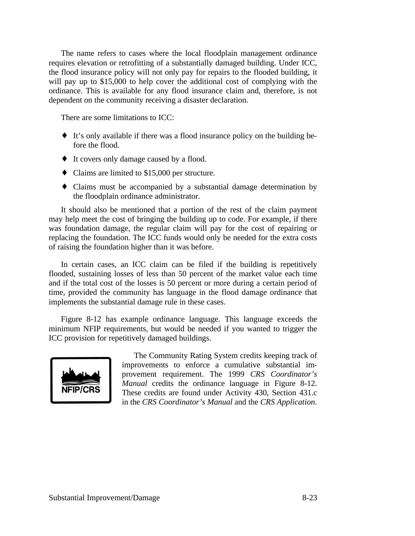The name refers to cases where the local floodplain management ordinance requires elevation or retrofitting of a substantially damaged building. Under ICC, the flood insurance policy will not only pay for repairs to the flooded building, it will pay up to \$15,000 to help cover the additional cost of complying with the ordinance. This is available for any flood insurance claim and, therefore, is not dependent on the community receiving a disaster declaration.

There are some limitations to ICC:

- ♦ It's only available if there was a flood insurance policy on the building before the flood.
- ♦ It covers only damage caused by a flood.
- ♦ Claims are limited to \$15,000 per structure.
- ♦ Claims must be accompanied by a substantial damage determination by the floodplain ordinance administrator.

It should also be mentioned that a portion of the rest of the claim payment may help meet the cost of bringing the building up to code. For example, if there was foundation damage, the regular claim will pay for the cost of repairing or replacing the foundation. The ICC funds would only be needed for the extra costs of raising the foundation higher than it was before.

In certain cases, an ICC claim can be filed if the building is repetitively flooded, sustaining losses of less than 50 percent of the market value each time and if the total cost of the losses is 50 percent or more during a certain period of time, provided the community has language in the flood damage ordinance that implements the substantial damage rule in these cases.

Figure 8-12 has example ordinance language. This language exceeds the minimum NFIP requirements, but would be needed if you wanted to trigger the ICC provision for repetitively damaged buildings.



The Community Rating System credits keeping track of improvements to enforce a cumulative substantial improvement requirement. The 1999 *CRS Coordinator's Manual* credits the ordinance language in Figure 8-12. These credits are found under Activity 430, Section 431.c in the *CRS Coordinator's Manual* and the *CRS Application.*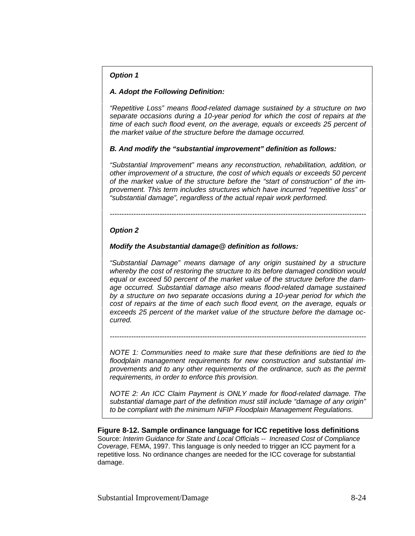### *Option 1*

### *A. Adopt the Following Definition:*

*"Repetitive Loss" means flood-related damage sustained by a structure on two separate occasions during a 10-year period for which the cost of repairs at the time of each such flood event, on the average, equals or exceeds 25 percent of the market value of the structure before the damage occurred.*

*B. And modify the "substantial improvement" definition as follows:*

*"Substantial Improvement" means any reconstruction, rehabilitation, addition, or other improvement of a structure, the cost of which equals or exceeds 50 percent of the market value of the structure before the "start of construction" of the improvement. This term includes structures which have incurred "repetitive loss" or "substantial damage", regardless of the actual repair work performed.*

*------------------------------------------------------------------------------------------------------------*

### *Option 2*

### *Modify the Asubstantial damage@ definition as follows:*

*"Substantial Damage" means damage of any origin sustained by a structure whereby the cost of restoring the structure to its before damaged condition would equal or exceed 50 percent of the market value of the structure before the damage occurred. Substantial damage also means flood-related damage sustained by a structure on two separate occasions during a 10-year period for which the cost of repairs at the time of each such flood event, on the average, equals or exceeds 25 percent of the market value of the structure before the damage occurred.*

*------------------------------------------------------------------------------------------------------------*

*NOTE 1: Communities need to make sure that these definitions are tied to the floodplain management requirements for new construction and substantial improvements and to any other requirements of the ordinance, such as the permit requirements, in order to enforce this provision.*

*NOTE 2: An ICC Claim Payment is ONLY made for flood-related damage. The substantial damage part of the definition must still include "damage of any origin" to be compliant with the minimum NFIP Floodplain Management Regulations.*

**Figure 8-12. Sample ordinance language for ICC repetitive loss definitions** Source: *Interim Guidance for State and Local Officials -- Increased Cost of Compliance Coverage*, FEMA, 1997. This language is only needed to trigger an ICC payment for a repetitive loss. No ordinance changes are needed for the ICC coverage for substantial damage.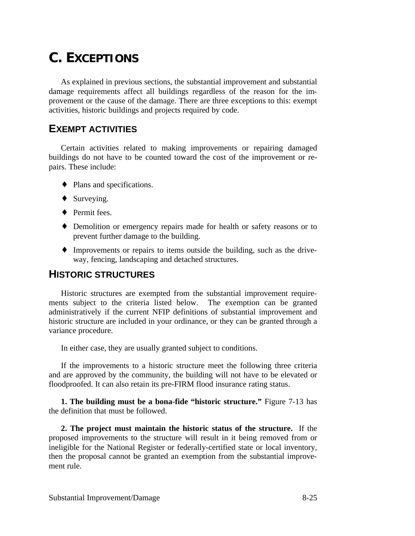## **C. EXCEPTIONS**

As explained in previous sections, the substantial improvement and substantial damage requirements affect all buildings regardless of the reason for the improvement or the cause of the damage. There are three exceptions to this: exempt activities, historic buildings and projects required by code.

## **EXEMPT ACTIVITIES**

Certain activities related to making improvements or repairing damaged buildings do not have to be counted toward the cost of the improvement or repairs. These include:

- ♦ Plans and specifications.
- ♦ Surveying.
- ♦ Permit fees.
- ♦ Demolition or emergency repairs made for health or safety reasons or to prevent further damage to the building.
- ♦ Improvements or repairs to items outside the building, such as the driveway, fencing, landscaping and detached structures.

## **HISTORIC STRUCTURES**

Historic structures are exempted from the substantial improvement requirements subject to the criteria listed below. The exemption can be granted administratively if the current NFIP definitions of substantial improvement and historic structure are included in your ordinance, or they can be granted through a variance procedure.

In either case, they are usually granted subject to conditions.

If the improvements to a historic structure meet the following three criteria and are approved by the community, the building will not have to be elevated or floodproofed. It can also retain its pre-FIRM flood insurance rating status.

**1. The building must be a bona-fide "historic structure."** Figure 7-13 has the definition that must be followed.

**2. The project must maintain the historic status of the structure.** If the proposed improvements to the structure will result in it being removed from or ineligible for the National Register or federally-certified state or local inventory, then the proposal cannot be granted an exemption from the substantial improvement rule.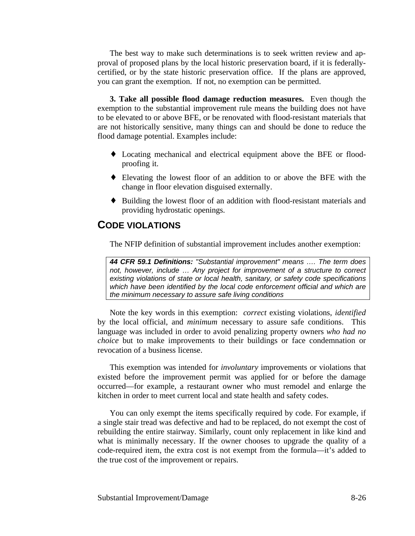The best way to make such determinations is to seek written review and approval of proposed plans by the local historic preservation board, if it is federallycertified, or by the state historic preservation office. If the plans are approved, you can grant the exemption. If not, no exemption can be permitted.

**3. Take all possible flood damage reduction measures.** Even though the exemption to the substantial improvement rule means the building does not have to be elevated to or above BFE, or be renovated with flood-resistant materials that are not historically sensitive, many things can and should be done to reduce the flood damage potential. Examples include:

- ♦ Locating mechanical and electrical equipment above the BFE or floodproofing it.
- ♦ Elevating the lowest floor of an addition to or above the BFE with the change in floor elevation disguised externally.
- ♦ Building the lowest floor of an addition with flood-resistant materials and providing hydrostatic openings.

## **CODE VIOLATIONS**

The NFIP definition of substantial improvement includes another exemption:

*44 CFR 59.1 Definitions: "Substantial improvement" means …. The term does not, however, include … Any project for improvement of a structure to correct existing violations of state or local health, sanitary, or safety code specifications which have been identified by the local code enforcement official and which are the minimum necessary to assure safe living conditions*

Note the key words in this exemption: *correct* existing violations, *identified* by the local official, and *minimum* necessary to assure safe conditions. This language was included in order to avoid penalizing property owners *who had no choice* but to make improvements to their buildings or face condemnation or revocation of a business license.

This exemption was intended for *involuntary* improvements or violations that existed before the improvement permit was applied for or before the damage occurred—for example, a restaurant owner who must remodel and enlarge the kitchen in order to meet current local and state health and safety codes.

You can only exempt the items specifically required by code. For example, if a single stair tread was defective and had to be replaced, do not exempt the cost of rebuilding the entire stairway. Similarly, count only replacement in like kind and what is minimally necessary. If the owner chooses to upgrade the quality of a code-required item, the extra cost is not exempt from the formula—it's added to the true cost of the improvement or repairs.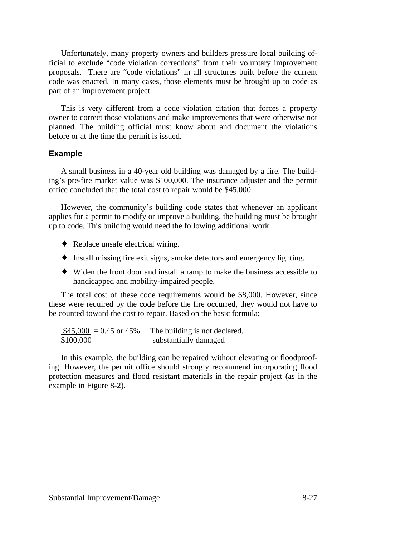Unfortunately, many property owners and builders pressure local building official to exclude "code violation corrections" from their voluntary improvement proposals. There are "code violations" in all structures built before the current code was enacted. In many cases, those elements must be brought up to code as part of an improvement project.

This is very different from a code violation citation that forces a property owner to correct those violations and make improvements that were otherwise not planned. The building official must know about and document the violations before or at the time the permit is issued.

### **Example**

A small business in a 40-year old building was damaged by a fire. The building's pre-fire market value was \$100,000. The insurance adjuster and the permit office concluded that the total cost to repair would be \$45,000.

However, the community's building code states that whenever an applicant applies for a permit to modify or improve a building, the building must be brought up to code. This building would need the following additional work:

- ♦ Replace unsafe electrical wiring.
- ♦ Install missing fire exit signs, smoke detectors and emergency lighting.
- ♦ Widen the front door and install a ramp to make the business accessible to handicapped and mobility-impaired people.

The total cost of these code requirements would be \$8,000. However, since these were required by the code before the fire occurred, they would not have to be counted toward the cost to repair. Based on the basic formula:

 $$45,000 = 0.45$  or 45% The building is not declared. \$100,000 substantially damaged

In this example, the building can be repaired without elevating or floodproofing. However, the permit office should strongly recommend incorporating flood protection measures and flood resistant materials in the repair project (as in the example in Figure 8-2).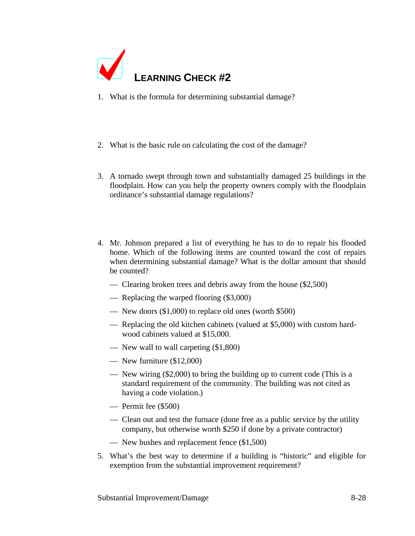

1. What is the formula for determining substantial damage?

- 2. What is the basic rule on calculating the cost of the damage?
- 3. A tornado swept through town and substantially damaged 25 buildings in the floodplain. How can you help the property owners comply with the floodplain ordinance's substantial damage regulations?
- 4. Mr. Johnson prepared a list of everything he has to do to repair his flooded home. Which of the following items are counted toward the cost of repairs when determining substantial damage? What is the dollar amount that should be counted?
	- Clearing broken trees and debris away from the house (\$2,500)
	- Replacing the warped flooring (\$3,000)
	- New doors (\$1,000) to replace old ones (worth \$500)
	- Replacing the old kitchen cabinets (valued at \$5,000) with custom hardwood cabinets valued at \$15,000.
	- New wall to wall carpeting (\$1,800)
	- New furniture (\$12,000)
	- New wiring (\$2,000) to bring the building up to current code (This is a standard requirement of the community. The building was not cited as having a code violation.)
	- Permit fee (\$500)
	- Clean out and test the furnace (done free as a public service by the utility company, but otherwise worth \$250 if done by a private contractor)
	- New bushes and replacement fence (\$1,500)
- 5. What's the best way to determine if a building is "historic" and eligible for exemption from the substantial improvement requirement?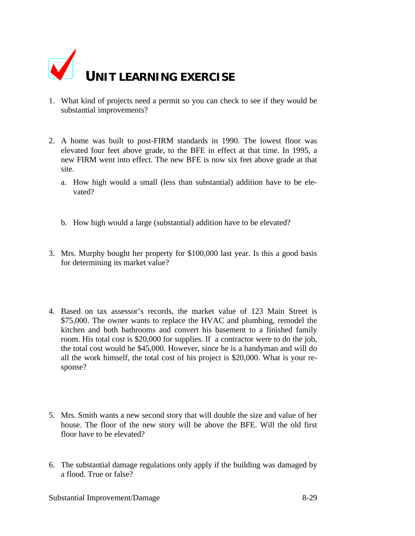

- 1. What kind of projects need a permit so you can check to see if they would be substantial improvements?
- 2. A home was built to post-FIRM standards in 1990. The lowest floor was elevated four feet above grade, to the BFE in effect at that time. In 1995, a new FIRM went into effect. The new BFE is now six feet above grade at that site.
	- a. How high would a small (less than substantial) addition have to be elevated?
	- b. How high would a large (substantial) addition have to be elevated?
- 3. Mrs. Murphy bought her property for \$100,000 last year. Is this a good basis for determining its market value?
- 4. Based on tax assessor's records, the market value of 123 Main Street is \$75,000. The owner wants to replace the HVAC and plumbing, remodel the kitchen and both bathrooms and convert his basement to a finished family room. His total cost is \$20,000 for supplies. If a contractor were to do the job, the total cost would be \$45,000. However, since he is a handyman and will do all the work himself, the total cost of his project is \$20,000. What is your response?
- 5. Mrs. Smith wants a new second story that will double the size and value of her house. The floor of the new story will be above the BFE. Will the old first floor have to be elevated?
- 6. The substantial damage regulations only apply if the building was damaged by a flood. True or false?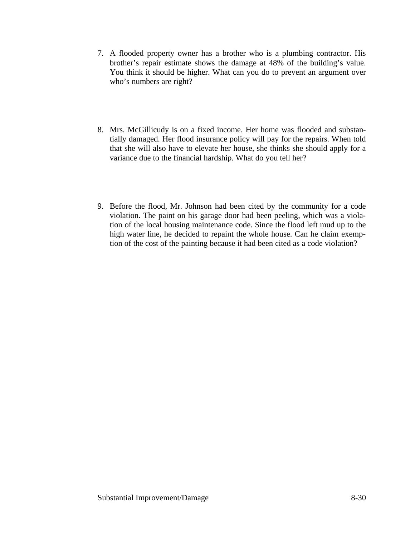- 7. A flooded property owner has a brother who is a plumbing contractor. His brother's repair estimate shows the damage at 48% of the building's value. You think it should be higher. What can you do to prevent an argument over who's numbers are right?
- 8. Mrs. McGillicudy is on a fixed income. Her home was flooded and substantially damaged. Her flood insurance policy will pay for the repairs. When told that she will also have to elevate her house, she thinks she should apply for a variance due to the financial hardship. What do you tell her?
- 9. Before the flood, Mr. Johnson had been cited by the community for a code violation. The paint on his garage door had been peeling, which was a violation of the local housing maintenance code. Since the flood left mud up to the high water line, he decided to repaint the whole house. Can he claim exemption of the cost of the painting because it had been cited as a code violation?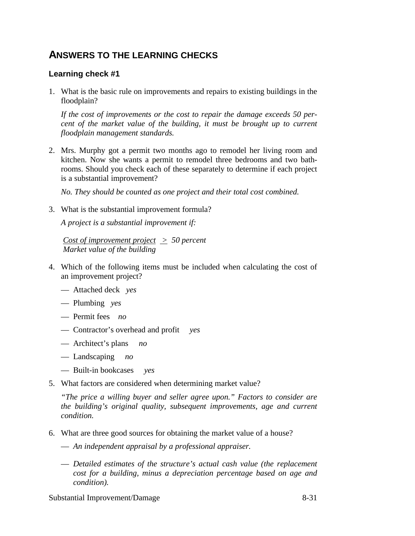## **ANSWERS TO THE LEARNING CHECKS**

### **Learning check #1**

1. What is the basic rule on improvements and repairs to existing buildings in the floodplain?

*If the cost of improvements or the cost to repair the damage exceeds 50 percent of the market value of the building, it must be brought up to current floodplain management standards.*

2. Mrs. Murphy got a permit two months ago to remodel her living room and kitchen. Now she wants a permit to remodel three bedrooms and two bathrooms. Should you check each of these separately to determine if each project is a substantial improvement?

*No. They should be counted as one project and their total cost combined.*

3. What is the substantial improvement formula?

*A project is a substantial improvement if:*

*Cost of improvement project > 50 percent Market value of the building*

- 4. Which of the following items must be included when calculating the cost of an improvement project?
	- Attached deck *yes*
	- Plumbing *yes*
	- Permit fees *no*
	- Contractor's overhead and profit *yes*
	- Architect's plans *no*
	- Landscaping *no*
	- Built-in bookcases *yes*
- 5. What factors are considered when determining market value?

*"The price a willing buyer and seller agree upon." Factors to consider are the building's original quality, subsequent improvements, age and current condition.*

- 6. What are three good sources for obtaining the market value of a house?
	- *An independent appraisal by a professional appraiser.*
	- *Detailed estimates of the structure's actual cash value (the replacement cost for a building, minus a depreciation percentage based on age and condition).*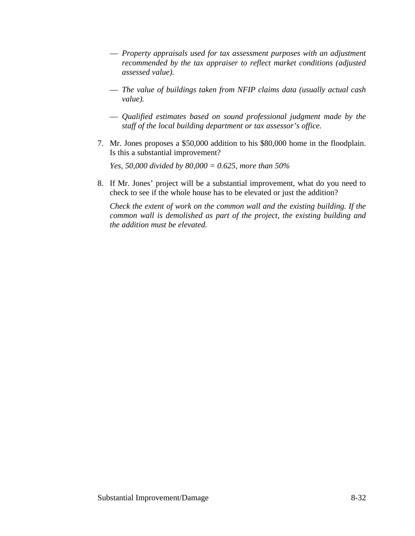- *Property appraisals used for tax assessment purposes with an adjustment recommended by the tax appraiser to reflect market conditions (adjusted assessed value).*
- *The value of buildings taken from NFIP claims data (usually actual cash value).*
- *Qualified estimates based on sound professional judgment made by the staff of the local building department or tax assessor's office.*
- 7. Mr. Jones proposes a \$50,000 addition to his \$80,000 home in the floodplain. Is this a substantial improvement?

*Yes, 50,000 divided by 80,000 = 0.625, more than 50%*

8. If Mr. Jones' project will be a substantial improvement, what do you need to check to see if the whole house has to be elevated or just the addition?

*Check the extent of work on the common wall and the existing building. If the common wall is demolished as part of the project, the existing building and the addition must be elevated.*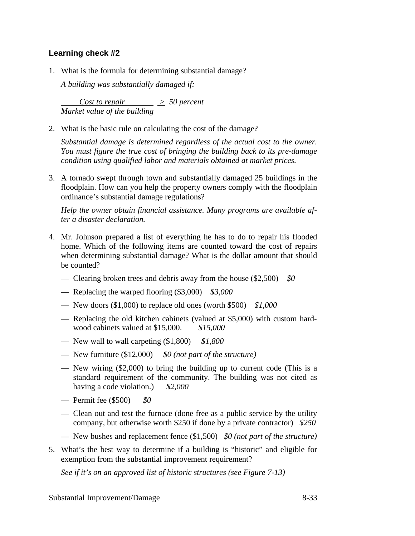### **Learning check #2**

1. What is the formula for determining substantial damage?

*A building was substantially damaged if:*

 $\frac{\text{Cost to repair}}{\text{2}}$   $\geq$  50 percent *Market value of the building*

2. What is the basic rule on calculating the cost of the damage?

*Substantial damage is determined regardless of the actual cost to the owner. You must figure the true cost of bringing the building back to its pre-damage condition using qualified labor and materials obtained at market prices.*

3. A tornado swept through town and substantially damaged 25 buildings in the floodplain. How can you help the property owners comply with the floodplain ordinance's substantial damage regulations?

*Help the owner obtain financial assistance. Many programs are available after a disaster declaration.*

- 4. Mr. Johnson prepared a list of everything he has to do to repair his flooded home. Which of the following items are counted toward the cost of repairs when determining substantial damage? What is the dollar amount that should be counted?
	- Clearing broken trees and debris away from the house (\$2,500) *\$0*
	- Replacing the warped flooring (\$3,000) *\$3,000*
	- New doors (\$1,000) to replace old ones (worth \$500) *\$1,000*
	- Replacing the old kitchen cabinets (valued at \$5,000) with custom hardwood cabinets valued at \$15,000. *\$15,000*
	- New wall to wall carpeting (\$1,800) *\$1,800*
	- New furniture (\$12,000) *\$0 (not part of the structure)*
	- New wiring (\$2,000) to bring the building up to current code (This is a standard requirement of the community. The building was not cited as having a code violation.) *\$2,000*
	- Permit fee (\$500) *\$0*
	- Clean out and test the furnace (done free as a public service by the utility company, but otherwise worth \$250 if done by a private contractor) *\$250*
	- New bushes and replacement fence (\$1,500) *\$0 (not part of the structure)*
- 5. What's the best way to determine if a building is "historic" and eligible for exemption from the substantial improvement requirement?

*See if it's on an approved list of historic structures (see Figure 7-13)*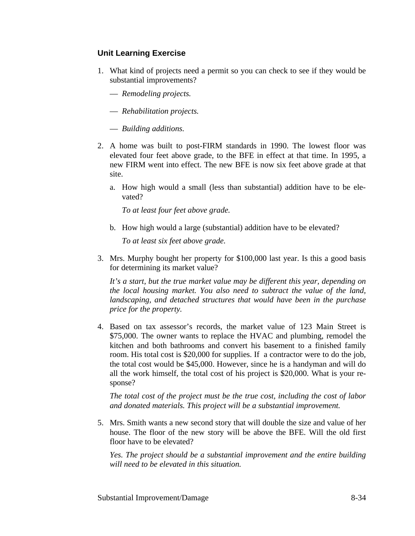### **Unit Learning Exercise**

- 1. What kind of projects need a permit so you can check to see if they would be substantial improvements?
	- *Remodeling projects.*
	- *Rehabilitation projects.*
	- *Building additions.*
- 2. A home was built to post-FIRM standards in 1990. The lowest floor was elevated four feet above grade, to the BFE in effect at that time. In 1995, a new FIRM went into effect. The new BFE is now six feet above grade at that site.
	- a. How high would a small (less than substantial) addition have to be elevated?

*To at least four feet above grade.*

b. How high would a large (substantial) addition have to be elevated?

*To at least six feet above grade.*

3. Mrs. Murphy bought her property for \$100,000 last year. Is this a good basis for determining its market value?

*It's a start, but the true market value may be different this year, depending on the local housing market. You also need to subtract the value of the land, landscaping, and detached structures that would have been in the purchase price for the property.*

4. Based on tax assessor's records, the market value of 123 Main Street is \$75,000. The owner wants to replace the HVAC and plumbing, remodel the kitchen and both bathrooms and convert his basement to a finished family room. His total cost is \$20,000 for supplies. If a contractor were to do the job, the total cost would be \$45,000. However, since he is a handyman and will do all the work himself, the total cost of his project is \$20,000. What is your response?

*The total cost of the project must be the true cost, including the cost of labor and donated materials. This project will be a substantial improvement.*

5. Mrs. Smith wants a new second story that will double the size and value of her house. The floor of the new story will be above the BFE. Will the old first floor have to be elevated?

*Yes. The project should be a substantial improvement and the entire building will need to be elevated in this situation.*